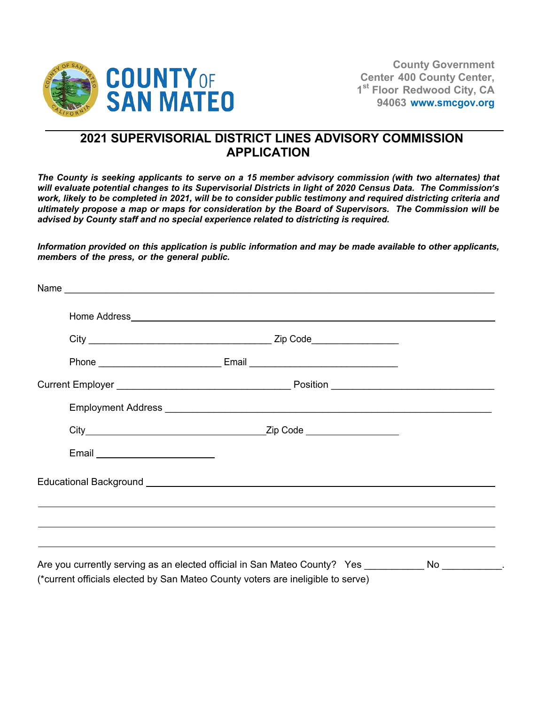

## **2021 SUPERVISORIAL DISTRICT LINES ADVISORY COMMISSION APPLICATION**

*The County is seeking applicants to serve on a 15 member advisory commission (with two alternates) that will evaluate potential changes to its Supervisorial Districts in light of 2020 Census Data. The Commission's work, likely to be completed in 2021, will be to consider public testimony and required districting criteria and ultimately propose a map or maps for consideration by the Board of Supervisors. The Commission will be advised by County staff and no special experience related to districting is required.*

*Information provided on this application is public information and may be made available to other applicants, members of the press, or the general public.*

| Email _________________________ |                                                                                                     |  |
|---------------------------------|-----------------------------------------------------------------------------------------------------|--|
|                                 | Educational Background <b>Educational</b> Background                                                |  |
|                                 |                                                                                                     |  |
|                                 | ,我们也不能会在这里,我们也不能会在这里,我们也不能会在这里,我们也不能会在这里,我们也不能会在这里,我们也不能会在这里,我们也不能会不能会不能会。""我们,我们                   |  |
|                                 |                                                                                                     |  |
|                                 | Are you currently serving as an elected official in San Mateo County? Yes __________ No __________. |  |
|                                 | (*current officials elected by San Mateo County voters are ineligible to serve)                     |  |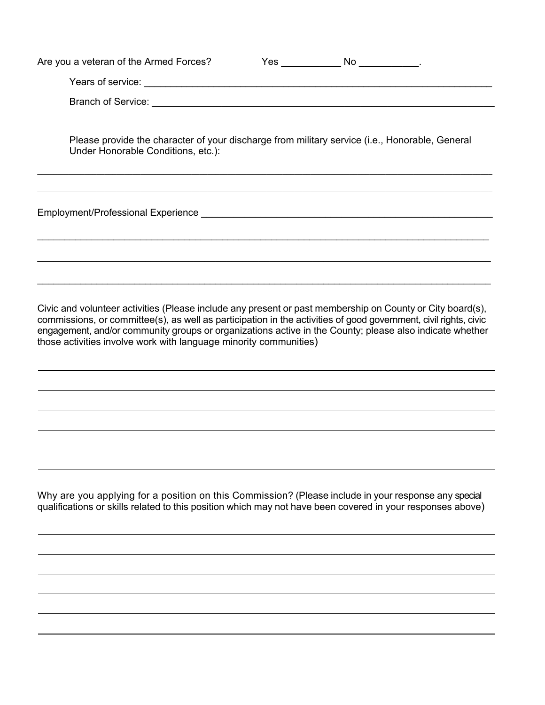| Are you a veteran of the Armed Forces?                                                                                               | Yes | No. |  |
|--------------------------------------------------------------------------------------------------------------------------------------|-----|-----|--|
|                                                                                                                                      |     |     |  |
|                                                                                                                                      |     |     |  |
| Please provide the character of your discharge from military service (i.e., Honorable, General<br>Under Honorable Conditions, etc.): |     |     |  |
| Employment/Professional Experience entries and the control of the control of the control of the control of the                       |     |     |  |

Civic and volunteer activities (Please include any present or past membership on County or City board(s), commissions, or committee(s), as well as participation in the activities of good government, civil rights, civic engagement, and/or community groups or organizations active in the County; please also indicate whether those activities involve work with language minority communities)

\_\_\_\_\_\_\_\_\_\_\_\_\_\_\_\_\_\_\_\_\_\_\_\_\_\_\_\_\_\_\_\_\_\_\_\_\_\_\_\_\_\_\_\_\_\_\_\_\_\_\_\_\_\_\_\_\_\_\_\_\_\_\_\_\_\_\_\_\_\_\_\_\_\_\_\_\_\_\_\_\_\_\_

 $\_$  , and the set of the set of the set of the set of the set of the set of the set of the set of the set of the set of the set of the set of the set of the set of the set of the set of the set of the set of the set of th

 $\_$  , and the set of the set of the set of the set of the set of the set of the set of the set of the set of the set of the set of the set of the set of the set of the set of the set of the set of the set of the set of th

Why are you applying for a position on this Commission? (Please include in your response any special qualifications or skills related to this position which may not have been covered in your responses above)